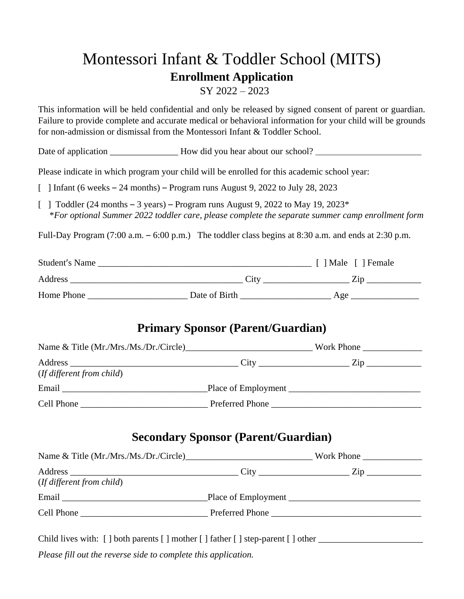## Montessori Infant & Toddler School (MITS) **Enrollment Application**

SY 2022 – 2023

This information will be held confidential and only be released by signed consent of parent or guardian. Failure to provide complete and accurate medical or behavioral information for your child will be grounds for non-admission or dismissal from the Montessori Infant & Toddler School.

Date of application \_\_\_\_\_\_\_\_\_\_\_\_\_\_\_\_\_\_\_\_\_\_\_How did you hear about our school? \_\_\_\_\_\_\_\_\_\_\_\_\_\_\_\_\_\_\_\_\_\_\_\_\_\_\_\_\_\_\_\_

Please indicate in which program your child will be enrolled for this academic school year:

- $\lceil$  1 Infant (6 weeks 24 months) Program runs August 9, 2022 to July 28, 2023
- $\lceil$  1 Toddler (24 months 3 years) Program runs August 9, 2022 to May 19, 2023\* \**For optional Summer 2022 toddler care, please complete the separate summer camp enrollment form*

Full-Day Program (7:00 a.m. – 6:00 p.m.) The toddler class begins at 8:30 a.m. and ends at 2:30 p.m.

| Student's Name |               | Male [ ] Female |
|----------------|---------------|-----------------|
| Address        | City          | 7.1n            |
| Home Phone     | Date of Birth | Age             |

## **Primary Sponsor (Parent/Guardian)**

| Name & Title (Mr./Mrs./Ms./Dr./Circle) |                     | Work Phone  |
|----------------------------------------|---------------------|-------------|
| (If different from child)              | City                | $\angle 1D$ |
| Email                                  | Place of Employment |             |
| Cell Phone                             | Preferred Phone     |             |

## **Secondary Sponsor (Parent/Guardian)**

| Name & Title (Mr./Mrs./Ms./Dr./Circle) | Work Phone $\frac{1}{2}$ |                 |
|----------------------------------------|--------------------------|-----------------|
| (If different from child)              |                          |                 |
|                                        |                          |                 |
| Cell Phone                             |                          | Preferred Phone |

Child lives with:  $\lceil \cdot \rceil$  both parents  $\lceil \cdot \rceil$  mother  $\lceil \cdot \rceil$  step-parent  $\lceil \cdot \rceil$  other

*Please fill out the reverse side to complete this application.*